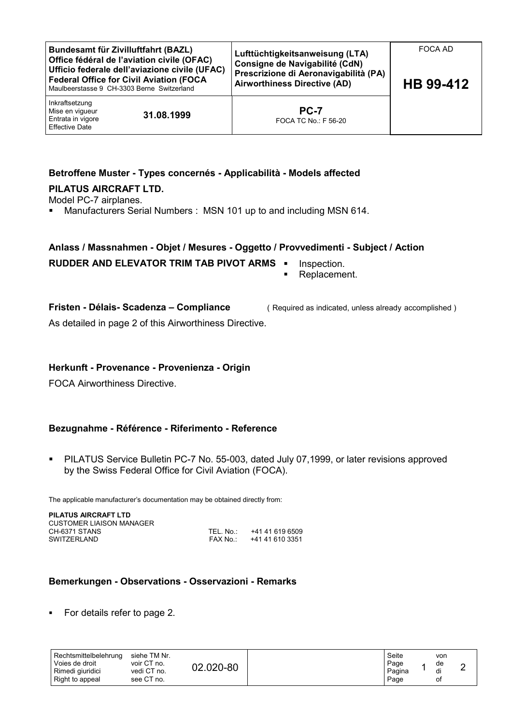| Bundesamt für Zivilluftfahrt (BAZL)<br>Office fédéral de l'aviation civile (OFAC)<br>Ufficio federale dell'aviazione civile (UFAC)<br>Federal Office for Civil Aviation (FOCA<br>Maulbeerstasse 9 CH-3303 Berne Switzerland |            | Lufttüchtigkeitsanweisung (LTA)<br>Consigne de Navigabilité (CdN)<br>Prescrizione di Aeronavigabilità (PA)<br><b>Airworthiness Directive (AD)</b> | FOCA AD<br>HB 99-412 |  |
|-----------------------------------------------------------------------------------------------------------------------------------------------------------------------------------------------------------------------------|------------|---------------------------------------------------------------------------------------------------------------------------------------------------|----------------------|--|
| Inkraftsetzung<br>Mise en vigueur<br>Entrata in vigore<br>Effective Date                                                                                                                                                    | 31.08.1999 | <b>PC-7</b><br>FOCA TC No.: F 56-20                                                                                                               |                      |  |

# **Betroffene Muster - Types concernés - Applicabilità - Models affected**

#### **PILATUS AIRCRAFT LTD.**

Model PC-7 airplanes.

**Manufacturers Serial Numbers : MSN 101 up to and including MSN 614.** 

#### **Anlass / Massnahmen - Objet / Mesures - Oggetto / Provvedimenti - Subject / Action**

## **RUDDER AND ELEVATOR TRIM TAB PIVOT ARMS •** Inspection.

Replacement.

**Fristen - Délais- Scadenza – Compliance** (Required as indicated, unless already accomplished )

As detailed in page 2 of this Airworthiness Directive.

#### **Herkunft - Provenance - Provenienza - Origin**

FOCA Airworthiness Directive.

## **Bezugnahme - Référence - Riferimento - Reference**

**PILATUS Service Bulletin PC-7 No. 55-003, dated July 07,1999, or later revisions approved** by the Swiss Federal Office for Civil Aviation (FOCA).

The applicable manufacturer's documentation may be obtained directly from:

| PILATUS AIRCRAFT LTD<br>CUSTOMER LIAISON MANAGER |           |                 |  |  |  |  |
|--------------------------------------------------|-----------|-----------------|--|--|--|--|
| CH-6371 STANS                                    | TEL. No : | +41 41 619 6509 |  |  |  |  |
| SWITZERLAND                                      | FAX No :  | +41 41 610 3351 |  |  |  |  |

## **Bemerkungen - Observations - Osservazioni - Remarks**

• For details refer to page 2.

| Rechtsmittelbelehrung<br>Voies de droit<br>Rimedi giuridici<br>Right to appeal | siehe TM Nr.<br>voir CT no.<br>vedi CT no.<br>see CT no. | 02.020-80 |  | Seite<br>Page<br>Pagina<br>Page |  | von<br>de<br>Οl |  |
|--------------------------------------------------------------------------------|----------------------------------------------------------|-----------|--|---------------------------------|--|-----------------|--|
|--------------------------------------------------------------------------------|----------------------------------------------------------|-----------|--|---------------------------------|--|-----------------|--|